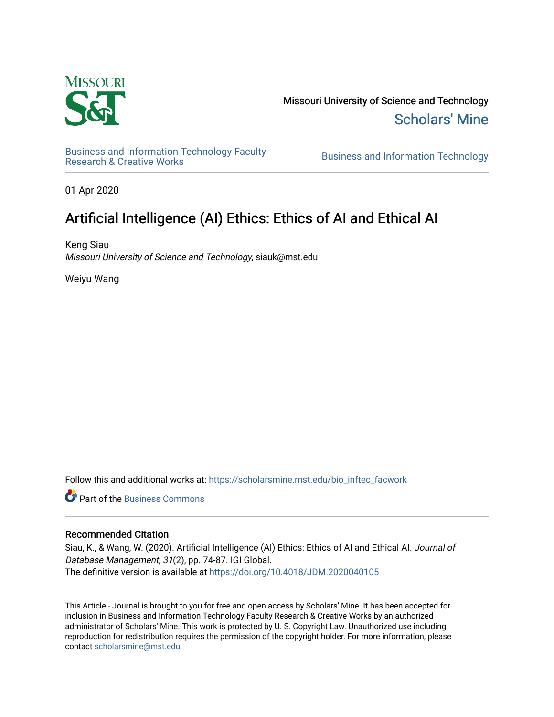

Missouri University of Science and Technology [Scholars' Mine](https://scholarsmine.mst.edu/) 

[Business and Information Technology Faculty](https://scholarsmine.mst.edu/bio_inftec_facwork)

Business and Information Technology

01 Apr 2020

# Artificial Intelligence (AI) Ethics: Ethics of AI and Ethical AI

Keng Siau Missouri University of Science and Technology, siauk@mst.edu

Weiyu Wang

Follow this and additional works at: [https://scholarsmine.mst.edu/bio\\_inftec\\_facwork](https://scholarsmine.mst.edu/bio_inftec_facwork?utm_source=scholarsmine.mst.edu%2Fbio_inftec_facwork%2F345&utm_medium=PDF&utm_campaign=PDFCoverPages) 

**C** Part of the [Business Commons](http://network.bepress.com/hgg/discipline/622?utm_source=scholarsmine.mst.edu%2Fbio_inftec_facwork%2F345&utm_medium=PDF&utm_campaign=PDFCoverPages)

## Recommended Citation

Siau, K., & Wang, W. (2020). Artificial Intelligence (AI) Ethics: Ethics of AI and Ethical AI. Journal of Database Management, 31(2), pp. 74-87. IGI Global. The definitive version is available at <https://doi.org/10.4018/JDM.2020040105>

This Article - Journal is brought to you for free and open access by Scholars' Mine. It has been accepted for inclusion in Business and Information Technology Faculty Research & Creative Works by an authorized administrator of Scholars' Mine. This work is protected by U. S. Copyright Law. Unauthorized use including reproduction for redistribution requires the permission of the copyright holder. For more information, please contact [scholarsmine@mst.edu](mailto:scholarsmine@mst.edu).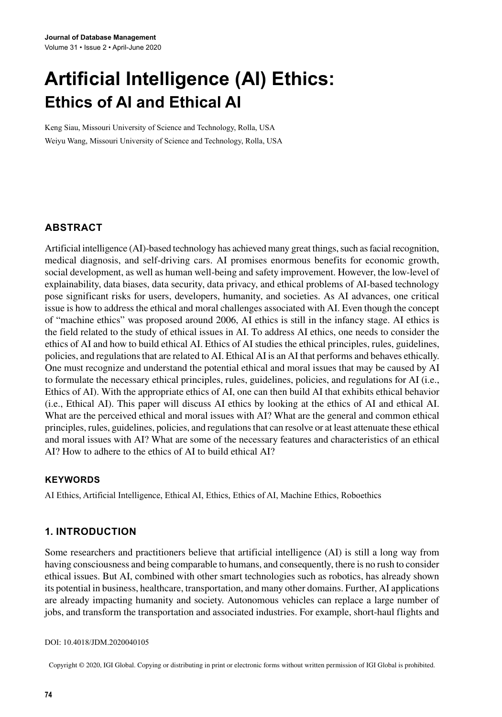# **Artificial Intelligence (AI) Ethics: Ethics of AI and Ethical AI**

Keng Siau, Missouri University of Science and Technology, Rolla, USA Weiyu Wang, Missouri University of Science and Technology, Rolla, USA

# **ABSTRACT**

Artificial intelligence (AI)-based technology has achieved many great things, such as facial recognition, medical diagnosis, and self-driving cars. AI promises enormous benefits for economic growth, social development, as well as human well-being and safety improvement. However, the low-level of explainability, data biases, data security, data privacy, and ethical problems of AI-based technology pose significant risks for users, developers, humanity, and societies. As AI advances, one critical issue is how to address the ethical and moral challenges associated with AI. Even though the concept of "machine ethics" was proposed around 2006, AI ethics is still in the infancy stage. AI ethics is the field related to the study of ethical issues in AI. To address AI ethics, one needs to consider the ethics of AI and how to build ethical AI. Ethics of AI studies the ethical principles, rules, guidelines, policies, and regulationsthat are related to AI. Ethical AI is an AI that performs and behaves ethically. One must recognize and understand the potential ethical and moral issues that may be caused by AI to formulate the necessary ethical principles, rules, guidelines, policies, and regulations for AI (i.e., Ethics of AI). With the appropriate ethics of AI, one can then build AI that exhibits ethical behavior (i.e., Ethical AI). This paper will discuss AI ethics by looking at the ethics of AI and ethical AI. What are the perceived ethical and moral issues with AI? What are the general and common ethical principles, rules, guidelines, policies, and regulationsthat can resolve or at least attenuate these ethical and moral issues with AI? What are some of the necessary features and characteristics of an ethical AI? How to adhere to the ethics of AI to build ethical AI?

## **Keywords**

AI Ethics, Artificial Intelligence, Ethical AI, Ethics, Ethics of AI, Machine Ethics, Roboethics

## **1. INTRODUCTION**

Some researchers and practitioners believe that artificial intelligence (AI) is still a long way from having consciousness and being comparable to humans, and consequently, there is no rush to consider ethical issues. But AI, combined with other smart technologies such as robotics, has already shown its potential in business, healthcare, transportation, and many other domains. Further, AI applications are already impacting humanity and society. Autonomous vehicles can replace a large number of jobs, and transform the transportation and associated industries. For example, short-haul flights and

#### DOI: 10.4018/JDM.2020040105

Copyright © 2020, IGI Global. Copying or distributing in print or electronic forms without written permission of IGI Global is prohibited.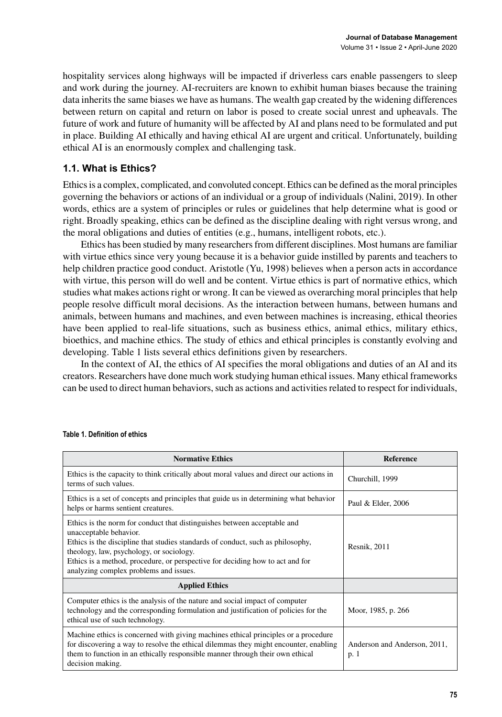hospitality services along highways will be impacted if driverless cars enable passengers to sleep and work during the journey. AI-recruiters are known to exhibit human biases because the training data inherits the same biases we have as humans. The wealth gap created by the widening differences between return on capital and return on labor is posed to create social unrest and upheavals. The future of work and future of humanity will be affected by AI and plans need to be formulated and put in place. Building AI ethically and having ethical AI are urgent and critical. Unfortunately, building ethical AI is an enormously complex and challenging task.

## **1.1. What is Ethics?**

Ethicsis a complex, complicated, and convoluted concept. Ethics can be defined asthe moral principles governing the behaviors or actions of an individual or a group of individuals (Nalini, 2019). In other words, ethics are a system of principles or rules or guidelines that help determine what is good or right. Broadly speaking, ethics can be defined as the discipline dealing with right versus wrong, and the moral obligations and duties of entities (e.g., humans, intelligent robots, etc.).

Ethics has been studied by many researchers from different disciplines. Most humans are familiar with virtue ethics since very young because it is a behavior guide instilled by parents and teachers to help children practice good conduct. Aristotle (Yu, 1998) believes when a person acts in accordance with virtue, this person will do well and be content. Virtue ethics is part of normative ethics, which studies what makes actions right or wrong. It can be viewed as overarching moral principles that help people resolve difficult moral decisions. As the interaction between humans, between humans and animals, between humans and machines, and even between machines is increasing, ethical theories have been applied to real-life situations, such as business ethics, animal ethics, military ethics, bioethics, and machine ethics. The study of ethics and ethical principles is constantly evolving and developing. Table 1 lists several ethics definitions given by researchers.

In the context of AI, the ethics of AI specifies the moral obligations and duties of an AI and its creators. Researchers have done much work studying human ethical issues. Many ethical frameworks can be used to direct human behaviors, such as actions and activities related to respect for individuals,

| <b>Normative Ethics</b>                                                                                                                                                                                                                                                                                                                                      | <b>Reference</b>                     |  |  |
|--------------------------------------------------------------------------------------------------------------------------------------------------------------------------------------------------------------------------------------------------------------------------------------------------------------------------------------------------------------|--------------------------------------|--|--|
| Ethics is the capacity to think critically about moral values and direct our actions in<br>terms of such values.                                                                                                                                                                                                                                             | Churchill, 1999                      |  |  |
| Ethics is a set of concepts and principles that guide us in determining what behavior<br>helps or harms sentient creatures.                                                                                                                                                                                                                                  | Paul & Elder, 2006                   |  |  |
| Ethics is the norm for conduct that distinguishes between acceptable and<br>unacceptable behavior.<br>Ethics is the discipline that studies standards of conduct, such as philosophy,<br>theology, law, psychology, or sociology.<br>Ethics is a method, procedure, or perspective for deciding how to act and for<br>analyzing complex problems and issues. | Resnik, 2011                         |  |  |
| <b>Applied Ethics</b>                                                                                                                                                                                                                                                                                                                                        |                                      |  |  |
| Computer ethics is the analysis of the nature and social impact of computer<br>technology and the corresponding formulation and justification of policies for the<br>ethical use of such technology.                                                                                                                                                         | Moor, 1985, p. 266                   |  |  |
| Machine ethics is concerned with giving machines ethical principles or a procedure<br>for discovering a way to resolve the ethical dilemmas they might encounter, enabling<br>them to function in an ethically responsible manner through their own ethical<br>decision making.                                                                              | Anderson and Anderson, 2011,<br>p. 1 |  |  |

#### **Table 1. Definition of ethics**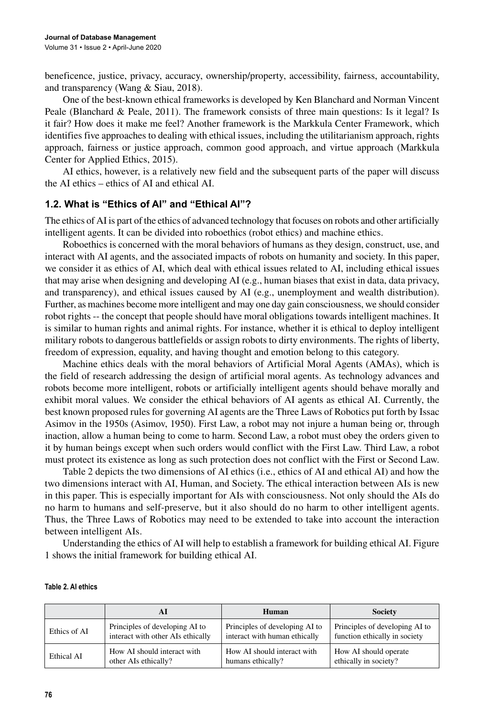beneficence, justice, privacy, accuracy, ownership/property, accessibility, fairness, accountability, and transparency (Wang & Siau, 2018).

One of the best-known ethical frameworks is developed by Ken Blanchard and Norman Vincent Peale (Blanchard & Peale, 2011). The framework consists of three main questions: Is it legal? Is it fair? How does it make me feel? Another framework is the Markkula Center Framework, which identifies five approaches to dealing with ethical issues, including the utilitarianism approach, rights approach, fairness or justice approach, common good approach, and virtue approach (Markkula Center for Applied Ethics, 2015).

AI ethics, however, is a relatively new field and the subsequent parts of the paper will discuss the AI ethics – ethics of AI and ethical AI.

## **1.2. What is "Ethics of AI" and "Ethical AI"?**

The ethics of AI is part of the ethics of advanced technology that focuses on robots and other artificially intelligent agents. It can be divided into roboethics (robot ethics) and machine ethics.

Roboethics is concerned with the moral behaviors of humans as they design, construct, use, and interact with AI agents, and the associated impacts of robots on humanity and society. In this paper, we consider it as ethics of AI, which deal with ethical issues related to AI, including ethical issues that may arise when designing and developing AI (e.g., human biases that exist in data, data privacy, and transparency), and ethical issues caused by AI (e.g., unemployment and wealth distribution). Further, as machines become more intelligent and may one day gain consciousness, we should consider robot rights -- the concept that people should have moral obligations towards intelligent machines. It is similar to human rights and animal rights. For instance, whether it is ethical to deploy intelligent military robots to dangerous battlefields or assign robots to dirty environments. The rights of liberty, freedom of expression, equality, and having thought and emotion belong to this category.

Machine ethics deals with the moral behaviors of Artificial Moral Agents (AMAs), which is the field of research addressing the design of artificial moral agents. As technology advances and robots become more intelligent, robots or artificially intelligent agents should behave morally and exhibit moral values. We consider the ethical behaviors of AI agents as ethical AI. Currently, the best known proposed rules for governing AI agents are the Three Laws of Robotics put forth by Issac Asimov in the 1950s (Asimov, 1950). First Law, a robot may not injure a human being or, through inaction, allow a human being to come to harm. Second Law, a robot must obey the orders given to it by human beings except when such orders would conflict with the First Law. Third Law, a robot must protect its existence as long as such protection does not conflict with the First or Second Law.

Table 2 depicts the two dimensions of AI ethics (i.e., ethics of AI and ethical AI) and how the two dimensions interact with AI, Human, and Society. The ethical interaction between AIs is new in this paper. This is especially important for AIs with consciousness. Not only should the AIs do no harm to humans and self-preserve, but it also should do no harm to other intelligent agents. Thus, the Three Laws of Robotics may need to be extended to take into account the interaction between intelligent AIs.

Understanding the ethics of AI will help to establish a framework for building ethical AI. Figure 1 shows the initial framework for building ethical AI.

|              | AI                                | Human                          | <b>Society</b>                 |
|--------------|-----------------------------------|--------------------------------|--------------------------------|
| Ethics of AI | Principles of developing AI to    | Principles of developing AI to | Principles of developing AI to |
|              | interact with other AIs ethically | interact with human ethically  | function ethically in society  |
| Ethical AI   | How AI should interact with       | How AI should interact with    | How AI should operate          |
|              | other AIs ethically?              | humans ethically?              | ethically in society?          |

#### **Table 2. AI ethics**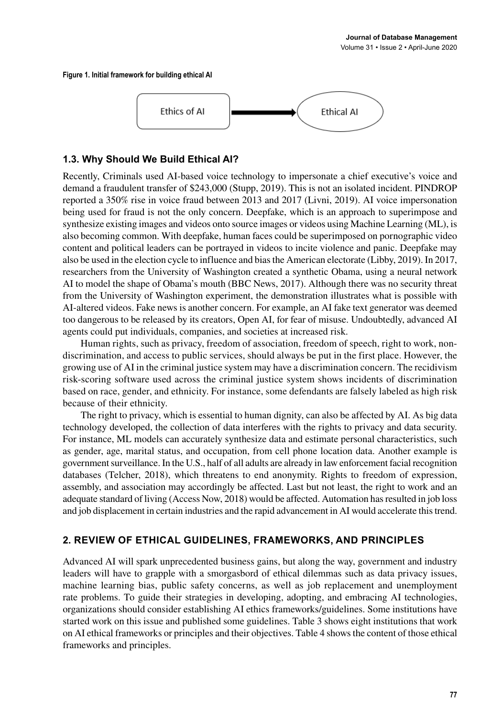**Figure 1. Initial framework for building ethical AI**



## **1.3. Why Should We Build Ethical AI?**

Recently, Criminals used AI-based voice technology to impersonate a chief executive's voice and demand a fraudulent transfer of \$243,000 (Stupp, 2019). This is not an isolated incident. PINDROP reported a 350% rise in voice fraud between 2013 and 2017 (Livni, 2019). AI voice impersonation being used for fraud is not the only concern. Deepfake, which is an approach to superimpose and synthesize existing images and videos onto source images or videos using Machine Learning (ML), is also becoming common. With deepfake, human faces could be superimposed on pornographic video content and political leaders can be portrayed in videos to incite violence and panic. Deepfake may also be used in the election cycle to influence and biasthe American electorate (Libby, 2019). In 2017, researchers from the University of Washington created a synthetic Obama, using a neural network AI to model the shape of Obama's mouth (BBC News, 2017). Although there was no security threat from the University of Washington experiment, the demonstration illustrates what is possible with AI-altered videos. Fake news is another concern. For example, an AI fake text generator was deemed too dangerous to be released by its creators, Open AI, for fear of misuse. Undoubtedly, advanced AI agents could put individuals, companies, and societies at increased risk.

Human rights, such as privacy, freedom of association, freedom of speech, right to work, nondiscrimination, and access to public services, should always be put in the first place. However, the growing use of AI in the criminal justice system may have a discrimination concern. The recidivism risk-scoring software used across the criminal justice system shows incidents of discrimination based on race, gender, and ethnicity. For instance, some defendants are falsely labeled as high risk because of their ethnicity.

The right to privacy, which is essential to human dignity, can also be affected by AI. As big data technology developed, the collection of data interferes with the rights to privacy and data security. For instance, ML models can accurately synthesize data and estimate personal characteristics, such as gender, age, marital status, and occupation, from cell phone location data. Another example is governmentsurveillance. In the U.S., half of all adults are already in law enforcement facial recognition databases (Telcher, 2018), which threatens to end anonymity. Rights to freedom of expression, assembly, and association may accordingly be affected. Last but not least, the right to work and an adequate standard of living (Access Now, 2018) would be affected. Automation hasresulted in job loss and job displacement in certain industries and the rapid advancement in AI would accelerate thistrend.

## **2. REVIEW OF ETHICAL GUIDELINES, FRAMEWORKS, AND PRINCIPLES**

Advanced AI will spark unprecedented business gains, but along the way, government and industry leaders will have to grapple with a smorgasbord of ethical dilemmas such as data privacy issues, machine learning bias, public safety concerns, as well as job replacement and unemployment rate problems. To guide their strategies in developing, adopting, and embracing AI technologies, organizations should consider establishing AI ethics frameworks/guidelines. Some institutions have started work on this issue and published some guidelines. Table 3 shows eight institutions that work on AI ethical frameworks or principles and their objectives. Table 4 showsthe content of those ethical frameworks and principles.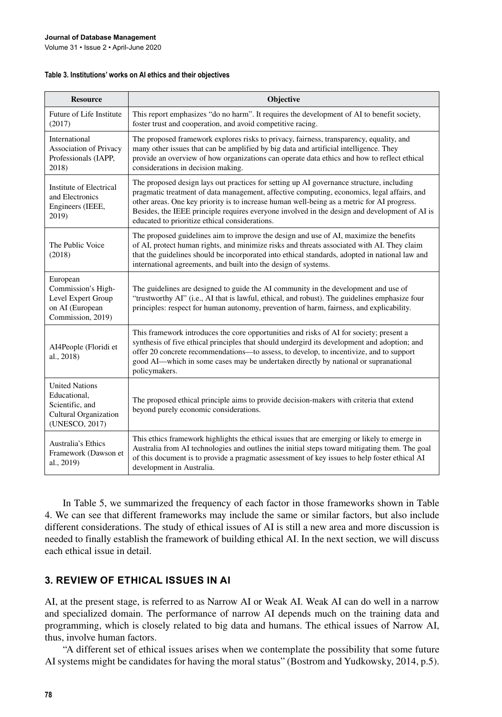Volume 31 • Issue 2 • April-June 2020

#### **Table 3. Institutions' works on AI ethics and their objectives**

| <b>Resource</b>                                                                                            | Objective                                                                                                                                                                                                                                                                                                                                                                                                                               |
|------------------------------------------------------------------------------------------------------------|-----------------------------------------------------------------------------------------------------------------------------------------------------------------------------------------------------------------------------------------------------------------------------------------------------------------------------------------------------------------------------------------------------------------------------------------|
| Future of Life Institute<br>(2017)                                                                         | This report emphasizes "do no harm". It requires the development of AI to benefit society,<br>foster trust and cooperation, and avoid competitive racing.                                                                                                                                                                                                                                                                               |
| International<br><b>Association of Privacy</b><br>Professionals (IAPP,<br>2018)                            | The proposed framework explores risks to privacy, fairness, transparency, equality, and<br>many other issues that can be amplified by big data and artificial intelligence. They<br>provide an overview of how organizations can operate data ethics and how to reflect ethical<br>considerations in decision making.                                                                                                                   |
| Institute of Electrical<br>and Electronics<br>Engineers (IEEE,<br>2019)                                    | The proposed design lays out practices for setting up AI governance structure, including<br>pragmatic treatment of data management, affective computing, economics, legal affairs, and<br>other areas. One key priority is to increase human well-being as a metric for AI progress.<br>Besides, the IEEE principle requires everyone involved in the design and development of AI is<br>educated to prioritize ethical considerations. |
| The Public Voice<br>(2018)                                                                                 | The proposed guidelines aim to improve the design and use of AI, maximize the benefits<br>of AI, protect human rights, and minimize risks and threats associated with AI. They claim<br>that the guidelines should be incorporated into ethical standards, adopted in national law and<br>international agreements, and built into the design of systems.                                                                               |
| European<br>Commission's High-<br>Level Expert Group<br>on AI (European<br>Commission, 2019)               | The guidelines are designed to guide the AI community in the development and use of<br>"trustworthy AI" (i.e., AI that is lawful, ethical, and robust). The guidelines emphasize four<br>principles: respect for human autonomy, prevention of harm, fairness, and explicability.                                                                                                                                                       |
| AI4People (Floridi et<br>al., 2018)                                                                        | This framework introduces the core opportunities and risks of AI for society; present a<br>synthesis of five ethical principles that should undergird its development and adoption; and<br>offer 20 concrete recommendations—to assess, to develop, to incentivize, and to support<br>good AI—which in some cases may be undertaken directly by national or supranational<br>policymakers.                                              |
| <b>United Nations</b><br>Educational,<br>Scientific, and<br><b>Cultural Organization</b><br>(UNESCO, 2017) | The proposed ethical principle aims to provide decision-makers with criteria that extend<br>beyond purely economic considerations.                                                                                                                                                                                                                                                                                                      |
| Australia's Ethics<br>Framework (Dawson et<br>al., 2019)                                                   | This ethics framework highlights the ethical issues that are emerging or likely to emerge in<br>Australia from AI technologies and outlines the initial steps toward mitigating them. The goal<br>of this document is to provide a pragmatic assessment of key issues to help foster ethical AI<br>development in Australia.                                                                                                            |

In Table 5, we summarized the frequency of each factor in those frameworks shown in Table 4. We can see that different frameworks may include the same or similar factors, but also include different considerations. The study of ethical issues of AI is still a new area and more discussion is needed to finally establish the framework of building ethical AI. In the next section, we will discuss each ethical issue in detail.

## **3. REVIEW OF ETHICAL ISSUES IN AI**

AI, at the present stage, is referred to as Narrow AI or Weak AI. Weak AI can do well in a narrow and specialized domain. The performance of narrow AI depends much on the training data and programming, which is closely related to big data and humans. The ethical issues of Narrow AI, thus, involve human factors.

"A different set of ethical issues arises when we contemplate the possibility that some future AI systems might be candidates for having the moral status" (Bostrom and Yudkowsky, 2014, p.5).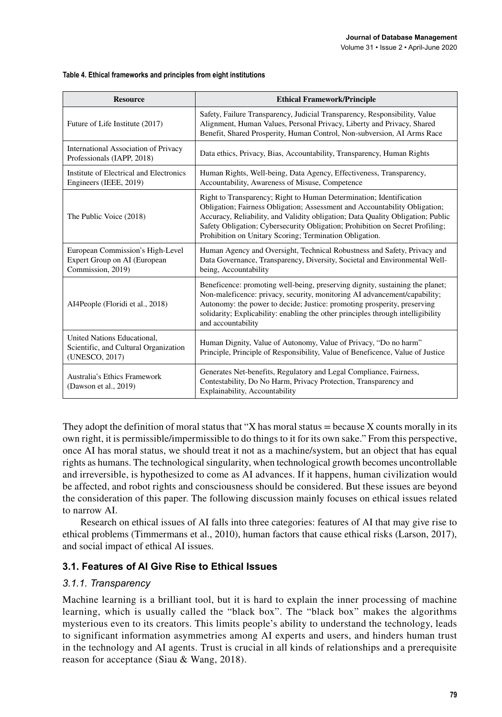#### **Table 4. Ethical frameworks and principles from eight institutions**

| <b>Resource</b>                                                                        | <b>Ethical Framework/Principle</b>                                                                                                                                                                                                                                                                                                                                               |  |  |  |
|----------------------------------------------------------------------------------------|----------------------------------------------------------------------------------------------------------------------------------------------------------------------------------------------------------------------------------------------------------------------------------------------------------------------------------------------------------------------------------|--|--|--|
| Future of Life Institute (2017)                                                        | Safety, Failure Transparency, Judicial Transparency, Responsibility, Value<br>Alignment, Human Values, Personal Privacy, Liberty and Privacy, Shared<br>Benefit, Shared Prosperity, Human Control, Non-subversion, AI Arms Race                                                                                                                                                  |  |  |  |
| <b>International Association of Privacy</b><br>Professionals (IAPP, 2018)              | Data ethics, Privacy, Bias, Accountability, Transparency, Human Rights                                                                                                                                                                                                                                                                                                           |  |  |  |
| Institute of Electrical and Electronics<br>Engineers (IEEE, 2019)                      | Human Rights, Well-being, Data Agency, Effectiveness, Transparency,<br>Accountability, Awareness of Misuse, Competence                                                                                                                                                                                                                                                           |  |  |  |
| The Public Voice (2018)                                                                | Right to Transparency; Right to Human Determination; Identification<br>Obligation; Fairness Obligation; Assessment and Accountability Obligation;<br>Accuracy, Reliability, and Validity obligation; Data Quality Obligation; Public<br>Safety Obligation; Cybersecurity Obligation; Prohibition on Secret Profiling;<br>Prohibition on Unitary Scoring; Termination Obligation. |  |  |  |
| European Commission's High-Level<br>Expert Group on AI (European<br>Commission, 2019)  | Human Agency and Oversight, Technical Robustness and Safety, Privacy and<br>Data Governance, Transparency, Diversity, Societal and Environmental Well-<br>being, Accountability                                                                                                                                                                                                  |  |  |  |
| AI4People (Floridi et al., 2018)                                                       | Beneficence: promoting well-being, preserving dignity, sustaining the planet;<br>Non-maleficence: privacy, security, monitoring AI advancement/capability;<br>Autonomy: the power to decide; Justice: promoting prosperity, preserving<br>solidarity; Explicability: enabling the other principles through intelligibility<br>and accountability                                 |  |  |  |
| United Nations Educational.<br>Scientific, and Cultural Organization<br>(UNESCO, 2017) | Human Dignity, Value of Autonomy, Value of Privacy, "Do no harm"<br>Principle, Principle of Responsibility, Value of Beneficence, Value of Justice                                                                                                                                                                                                                               |  |  |  |
| Australia's Ethics Framework<br>(Dawson et al., 2019)                                  | Generates Net-benefits, Regulatory and Legal Compliance, Fairness,<br>Contestability, Do No Harm, Privacy Protection, Transparency and<br>Explainability, Accountability                                                                                                                                                                                                         |  |  |  |

They adopt the definition of moral status that "X has moral status  $=$  because X counts morally in its own right, it is permissible/impermissible to do things to it for its own sake." From this perspective, once AI has moral status, we should treat it not as a machine/system, but an object that has equal rights as humans. The technological singularity, when technological growth becomes uncontrollable and irreversible, is hypothesized to come as AI advances. If it happens, human civilization would be affected, and robot rights and consciousness should be considered. But these issues are beyond the consideration of this paper. The following discussion mainly focuses on ethical issues related to narrow AI.

Research on ethical issues of AI falls into three categories: features of AI that may give rise to ethical problems (Timmermans et al., 2010), human factors that cause ethical risks (Larson, 2017), and social impact of ethical AI issues.

## **3.1. Features of AI Give Rise to Ethical Issues**

## *3.1.1. Transparency*

Machine learning is a brilliant tool, but it is hard to explain the inner processing of machine learning, which is usually called the "black box". The "black box" makes the algorithms mysterious even to its creators. This limits people's ability to understand the technology, leads to significant information asymmetries among AI experts and users, and hinders human trust in the technology and AI agents. Trust is crucial in all kinds of relationships and a prerequisite reason for acceptance (Siau & Wang, 2018).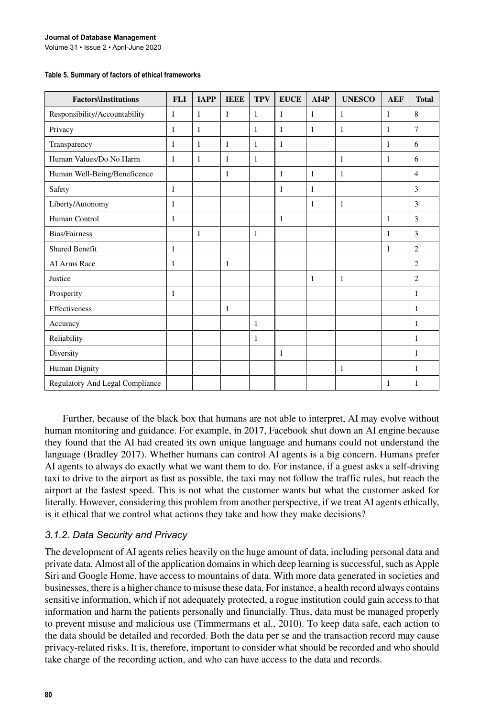#### **Journal of Database Management**

Volume 31 • Issue 2 • April-June 2020

| <b>Factors\Institutions</b>     | <b>FLI</b>   | <b>IAPP</b>  | <b>IEEE</b>  | <b>TPV</b>   | <b>EUCE</b>  | A I4P | <b>UNESCO</b> | <b>AEF</b>   | <b>Total</b>   |
|---------------------------------|--------------|--------------|--------------|--------------|--------------|-------|---------------|--------------|----------------|
| Responsibility/Accountability   | 1            | $\mathbf{1}$ | $\mathbf{1}$ | $\mathbf{1}$ | 1            | 1     | $\mathbf{1}$  | $\mathbf{1}$ | 8              |
| Privacy                         | 1            | 1            |              | 1            | 1            | 1     | $\mathbf{1}$  | $\mathbf{1}$ | 7              |
| Transparency                    | 1            | 1            | 1            | $\mathbf{1}$ | 1            |       |               | 1            | 6              |
| Human Values/Do No Harm         | 1            | $\mathbf{1}$ | 1            | $\mathbf{1}$ |              |       | $\mathbf{1}$  | $\mathbf{1}$ | 6              |
| Human Well-Being/Beneficence    |              |              | 1            |              | 1            | 1     | 1             |              | $\overline{4}$ |
| Safety                          | 1            |              |              |              | 1            | 1     |               |              | 3              |
| Liberty/Autonomy                | 1            |              |              |              |              | 1     | $\mathbf{1}$  |              | 3              |
| Human Control                   | $\mathbf{1}$ |              |              |              | $\mathbf{1}$ |       |               | 1            | 3              |
| <b>Bias/Fairness</b>            |              | $\mathbf{1}$ |              | $\mathbf{1}$ |              |       |               | $\mathbf{1}$ | 3              |
| <b>Shared Benefit</b>           | $\mathbf{1}$ |              |              |              |              |       |               | 1            | $\overline{c}$ |
| AI Arms Race                    | 1            |              | 1            |              |              |       |               |              | $\overline{2}$ |
| Justice                         |              |              |              |              |              | 1     | 1             |              | $\overline{c}$ |
| Prosperity                      | 1            |              |              |              |              |       |               |              | 1              |
| Effectiveness                   |              |              | 1            |              |              |       |               |              | $\mathbf{1}$   |
| Accuracy                        |              |              |              | 1            |              |       |               |              | $\mathbf{1}$   |
| Reliability                     |              |              |              | 1            |              |       |               |              | 1              |
| Diversity                       |              |              |              |              | 1            |       |               |              | 1              |
| Human Dignity                   |              |              |              |              |              |       | $\mathbf{1}$  |              | 1              |
| Regulatory And Legal Compliance |              |              |              |              |              |       |               | 1            | 1              |

Further, because of the black box that humans are not able to interpret, AI may evolve without human monitoring and guidance. For example, in 2017, Facebook shut down an AI engine because they found that the AI had created its own unique language and humans could not understand the language (Bradley 2017). Whether humans can control AI agents is a big concern. Humans prefer AI agents to always do exactly what we want them to do. For instance, if a guest asks a self-driving taxi to drive to the airport as fast as possible, the taxi may not follow the traffic rules, but reach the airport at the fastest speed. This is not what the customer wants but what the customer asked for literally. However, considering this problem from another perspective, if we treat AI agents ethically, is it ethical that we control what actions they take and how they make decisions?

## *3.1.2. Data Security and Privacy*

The development of AI agents relies heavily on the huge amount of data, including personal data and private data. Almost all of the application domains in which deep learning is successful, such as Apple Siri and Google Home, have access to mountains of data. With more data generated in societies and businesses, there is a higher chance to misuse these data. For instance, a health record always contains sensitive information, which if not adequately protected, a rogue institution could gain access to that information and harm the patients personally and financially. Thus, data must be managed properly to prevent misuse and malicious use (Timmermans et al., 2010). To keep data safe, each action to the data should be detailed and recorded. Both the data per se and the transaction record may cause privacy-related risks. It is, therefore, important to consider what should be recorded and who should take charge of the recording action, and who can have access to the data and records.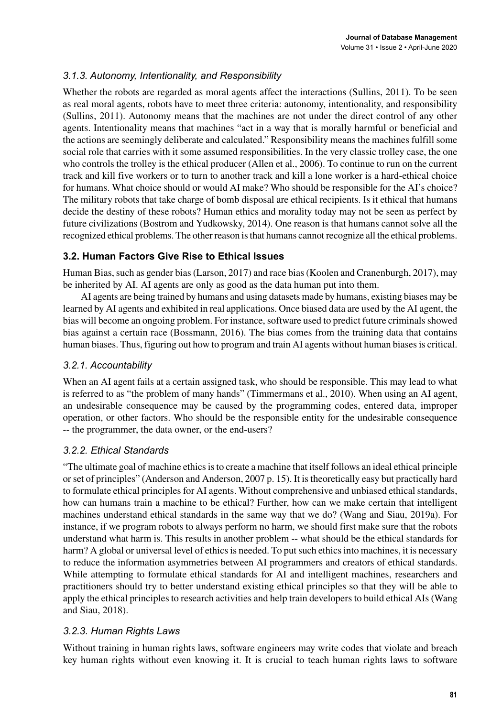## *3.1.3. Autonomy, Intentionality, and Responsibility*

Whether the robots are regarded as moral agents affect the interactions (Sullins, 2011). To be seen as real moral agents, robots have to meet three criteria: autonomy, intentionality, and responsibility (Sullins, 2011). Autonomy means that the machines are not under the direct control of any other agents. Intentionality means that machines "act in a way that is morally harmful or beneficial and the actions are seemingly deliberate and calculated." Responsibility means the machines fulfill some social role that carries with it some assumed responsibilities. In the very classic trolley case, the one who controls the trolley is the ethical producer (Allen et al., 2006). To continue to run on the current track and kill five workers or to turn to another track and kill a lone worker is a hard-ethical choice for humans. What choice should or would AI make? Who should be responsible for the AI's choice? The military robots that take charge of bomb disposal are ethical recipients. Is it ethical that humans decide the destiny of these robots? Human ethics and morality today may not be seen as perfect by future civilizations (Bostrom and Yudkowsky, 2014). One reason is that humans cannot solve all the recognized ethical problems. The other reason isthat humans cannot recognize all the ethical problems.

## **3.2. Human Factors Give Rise to Ethical Issues**

Human Bias, such as gender bias (Larson, 2017) and race bias (Koolen and Cranenburgh, 2017), may be inherited by AI. AI agents are only as good as the data human put into them.

AI agents are being trained by humans and using datasets made by humans, existing biases may be learned by AI agents and exhibited in real applications. Once biased data are used by the AI agent, the bias will become an ongoing problem. For instance, software used to predict future criminals showed bias against a certain race (Bossmann, 2016). The bias comes from the training data that contains human biases. Thus, figuring out how to program and train AI agents without human biases is critical.

## *3.2.1. Accountability*

When an AI agent fails at a certain assigned task, who should be responsible. This may lead to what is referred to as "the problem of many hands" (Timmermans et al., 2010). When using an AI agent, an undesirable consequence may be caused by the programming codes, entered data, improper operation, or other factors. Who should be the responsible entity for the undesirable consequence -- the programmer, the data owner, or the end-users?

## *3.2.2. Ethical Standards*

"The ultimate goal of machine ethicsisto create a machine that itself follows an ideal ethical principle orset of principles" (Anderson and Anderson, 2007 p. 15). It istheoretically easy but practically hard to formulate ethical principles for AI agents. Without comprehensive and unbiased ethical standards, how can humans train a machine to be ethical? Further, how can we make certain that intelligent machines understand ethical standards in the same way that we do? (Wang and Siau, 2019a). For instance, if we program robots to always perform no harm, we should first make sure that the robots understand what harm is. This results in another problem -- what should be the ethical standards for harm? A global or universal level of ethics is needed. To put such ethics into machines, it is necessary to reduce the information asymmetries between AI programmers and creators of ethical standards. While attempting to formulate ethical standards for AI and intelligent machines, researchers and practitioners should try to better understand existing ethical principles so that they will be able to apply the ethical principles to research activities and help train developers to build ethical AIs (Wang and Siau, 2018).

## *3.2.3. Human Rights Laws*

Without training in human rights laws, software engineers may write codes that violate and breach key human rights without even knowing it. It is crucial to teach human rights laws to software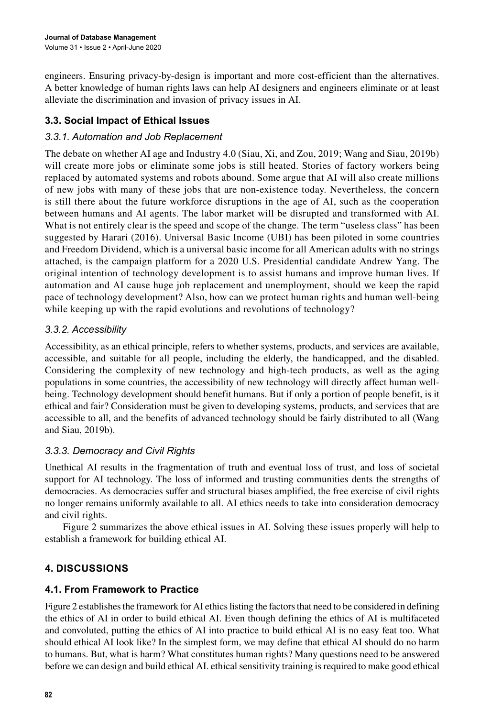engineers. Ensuring privacy-by-design is important and more cost-efficient than the alternatives. A better knowledge of human rights laws can help AI designers and engineers eliminate or at least alleviate the discrimination and invasion of privacy issues in AI.

# **3.3. Social Impact of Ethical Issues**

## *3.3.1. Automation and Job Replacement*

The debate on whether AI age and Industry 4.0 (Siau, Xi, and Zou, 2019; Wang and Siau, 2019b) will create more jobs or eliminate some jobs is still heated. Stories of factory workers being replaced by automated systems and robots abound. Some argue that AI will also create millions of new jobs with many of these jobs that are non-existence today. Nevertheless, the concern is still there about the future workforce disruptions in the age of AI, such as the cooperation between humans and AI agents. The labor market will be disrupted and transformed with AI. What is not entirely clear is the speed and scope of the change. The term "useless class" has been suggested by Harari (2016). Universal Basic Income (UBI) has been piloted in some countries and Freedom Dividend, which is a universal basic income for all American adults with no strings attached, is the campaign platform for a 2020 U.S. Presidential candidate Andrew Yang. The original intention of technology development is to assist humans and improve human lives. If automation and AI cause huge job replacement and unemployment, should we keep the rapid pace of technology development? Also, how can we protect human rights and human well-being while keeping up with the rapid evolutions and revolutions of technology?

## *3.3.2. Accessibility*

Accessibility, as an ethical principle, refers to whether systems, products, and services are available, accessible, and suitable for all people, including the elderly, the handicapped, and the disabled. Considering the complexity of new technology and high-tech products, as well as the aging populations in some countries, the accessibility of new technology will directly affect human wellbeing. Technology development should benefit humans. But if only a portion of people benefit, is it ethical and fair? Consideration must be given to developing systems, products, and services that are accessible to all, and the benefits of advanced technology should be fairly distributed to all (Wang and Siau, 2019b).

## *3.3.3. Democracy and Civil Rights*

Unethical AI results in the fragmentation of truth and eventual loss of trust, and loss of societal support for AI technology. The loss of informed and trusting communities dents the strengths of democracies. As democracies suffer and structural biases amplified, the free exercise of civil rights no longer remains uniformly available to all. AI ethics needs to take into consideration democracy and civil rights.

Figure 2 summarizes the above ethical issues in AI. Solving these issues properly will help to establish a framework for building ethical AI.

## **4. DISCUSSIONS**

## **4.1. From Framework to Practice**

Figure 2 establishes the framework for AI ethics listing the factors that need to be considered in defining the ethics of AI in order to build ethical AI. Even though defining the ethics of AI is multifaceted and convoluted, putting the ethics of AI into practice to build ethical AI is no easy feat too. What should ethical AI look like? In the simplest form, we may define that ethical AI should do no harm to humans. But, what is harm? What constitutes human rights? Many questions need to be answered before we can design and build ethical AI. ethical sensitivity training is required to make good ethical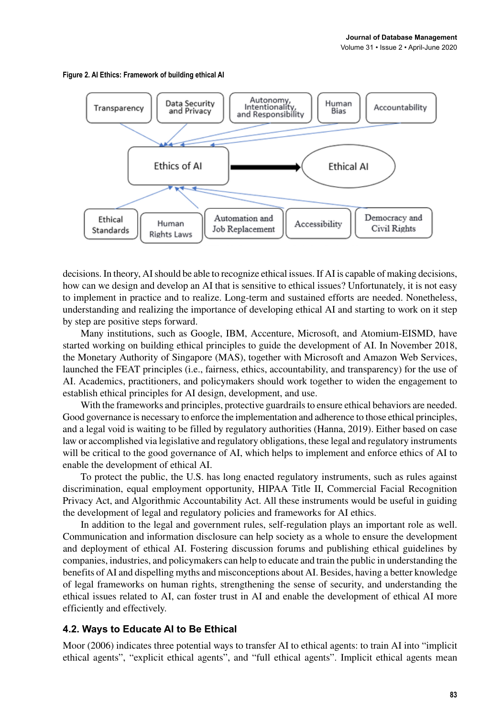



decisions. In theory, AI should be able to recognize ethical issues. If AI is capable of making decisions, how can we design and develop an AI that is sensitive to ethical issues? Unfortunately, it is not easy to implement in practice and to realize. Long-term and sustained efforts are needed. Nonetheless, understanding and realizing the importance of developing ethical AI and starting to work on it step by step are positive steps forward.

Many institutions, such as Google, IBM, Accenture, Microsoft, and Atomium-EISMD, have started working on building ethical principles to guide the development of AI. In November 2018, the Monetary Authority of Singapore (MAS), together with Microsoft and Amazon Web Services, launched the FEAT principles (i.e., fairness, ethics, accountability, and transparency) for the use of AI. Academics, practitioners, and policymakers should work together to widen the engagement to establish ethical principles for AI design, development, and use.

With the frameworks and principles, protective guardrails to ensure ethical behaviors are needed. Good governance is necessary to enforce the implementation and adherence to those ethical principles, and a legal void is waiting to be filled by regulatory authorities (Hanna, 2019). Either based on case law or accomplished via legislative and regulatory obligations, these legal and regulatory instruments will be critical to the good governance of AI, which helps to implement and enforce ethics of AI to enable the development of ethical AI.

To protect the public, the U.S. has long enacted regulatory instruments, such as rules against discrimination, equal employment opportunity, HIPAA Title II, Commercial Facial Recognition Privacy Act, and Algorithmic Accountability Act. All these instruments would be useful in guiding the development of legal and regulatory policies and frameworks for AI ethics.

In addition to the legal and government rules, self-regulation plays an important role as well. Communication and information disclosure can help society as a whole to ensure the development and deployment of ethical AI. Fostering discussion forums and publishing ethical guidelines by companies, industries, and policymakers can help to educate and train the public in understanding the benefits of AI and dispelling myths and misconceptions about AI. Besides, having a better knowledge of legal frameworks on human rights, strengthening the sense of security, and understanding the ethical issues related to AI, can foster trust in AI and enable the development of ethical AI more efficiently and effectively.

## **4.2. Ways to Educate AI to Be Ethical**

Moor (2006) indicates three potential ways to transfer AI to ethical agents: to train AI into "implicit ethical agents", "explicit ethical agents", and "full ethical agents". Implicit ethical agents mean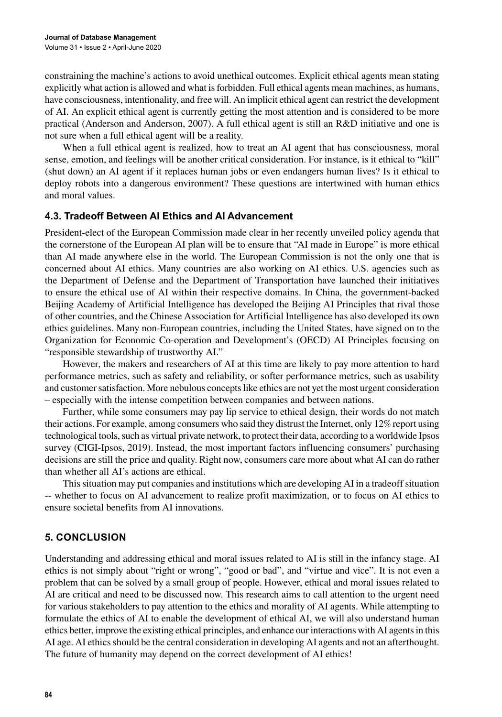constraining the machine's actions to avoid unethical outcomes. Explicit ethical agents mean stating explicitly what action is allowed and what isforbidden. Full ethical agents mean machines, as humans, have consciousness, intentionality, and free will. An implicit ethical agent can restrict the development of AI. An explicit ethical agent is currently getting the most attention and is considered to be more practical (Anderson and Anderson, 2007). A full ethical agent is still an R&D initiative and one is not sure when a full ethical agent will be a reality.

When a full ethical agent is realized, how to treat an AI agent that has consciousness, moral sense, emotion, and feelings will be another critical consideration. For instance, is it ethical to "kill" (shut down) an AI agent if it replaces human jobs or even endangers human lives? Is it ethical to deploy robots into a dangerous environment? These questions are intertwined with human ethics and moral values.

## **4.3. Tradeoff Between AI Ethics and AI Advancement**

President-elect of the European Commission made clear in her recently unveiled policy agenda that the cornerstone of the European AI plan will be to ensure that "AI made in Europe" is more ethical than AI made anywhere else in the world. The European Commission is not the only one that is concerned about AI ethics. Many countries are also working on AI ethics. U.S. agencies such as the Department of Defense and the Department of Transportation have launched their initiatives to ensure the ethical use of AI within their respective domains. In China, the government-backed Beijing Academy of Artificial Intelligence has developed the Beijing AI Principles that rival those of other countries, and the Chinese Association for Artificial Intelligence has also developed its own ethics guidelines. Many non-European countries, including the United States, have signed on to the Organization for Economic Co-operation and Development's (OECD) AI Principles focusing on "responsible stewardship of trustworthy AI."

However, the makers and researchers of AI at this time are likely to pay more attention to hard performance metrics, such as safety and reliability, or softer performance metrics, such as usability and customer satisfaction. More nebulous concepts like ethics are not yet the most urgent consideration – especially with the intense competition between companies and between nations.

Further, while some consumers may pay lip service to ethical design, their words do not match their actions. For example, among consumers who said they distrust the Internet, only 12% report using technological tools, such as virtual private network, to protect their data, according to a worldwide Ipsos survey (CIGI-Ipsos, 2019). Instead, the most important factors influencing consumers' purchasing decisions are still the price and quality. Right now, consumers care more about what AI can do rather than whether all AI's actions are ethical.

Thissituation may put companies and institutions which are developing AI in a tradeoffsituation -- whether to focus on AI advancement to realize profit maximization, or to focus on AI ethics to ensure societal benefits from AI innovations.

## **5. CONCLUSION**

Understanding and addressing ethical and moral issues related to AI is still in the infancy stage. AI ethics is not simply about "right or wrong", "good or bad", and "virtue and vice". It is not even a problem that can be solved by a small group of people. However, ethical and moral issues related to AI are critical and need to be discussed now. This research aims to call attention to the urgent need for various stakeholders to pay attention to the ethics and morality of AI agents. While attempting to formulate the ethics of AI to enable the development of ethical AI, we will also understand human ethics better, improve the existing ethical principles, and enhance our interactions with AI agents in this AI age. AI ethicsshould be the central consideration in developing AI agents and not an afterthought. The future of humanity may depend on the correct development of AI ethics!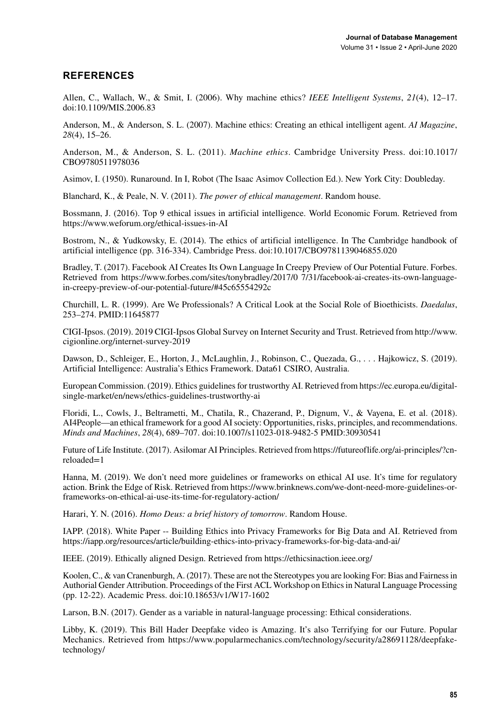## **REFERENCES**

Allen, C., Wallach, W., & Smit, I. (2006). Why machine ethics? *IEEE Intelligent Systems*, *21*(4), 12–17. doi[:10.1109/MIS.2006.83](http://dx.doi.org/10.1109/MIS.2006.83)

Anderson, M., & Anderson, S. L. (2007). Machine ethics: Creating an ethical intelligent agent. *AI Magazine*, *28*(4), 15–26.

Anderson, M., & Anderson, S. L. (2011). *Machine ethics*. Cambridge University Press. doi:[10.1017/](http://dx.doi.org/10.1017/CBO9780511978036) [CBO9780511978036](http://dx.doi.org/10.1017/CBO9780511978036)

Asimov, I. (1950). Runaround. In I, Robot (The Isaac Asimov Collection Ed.). New York City: Doubleday.

Blanchard, K., & Peale, N. V. (2011). *The power of ethical management*. Random house.

Bossmann, J. (2016). Top 9 ethical issues in artificial intelligence. World Economic Forum. Retrieved from <https://www.weforum.org/ethical-issues-in-AI>

Bostrom, N., & Yudkowsky, E. (2014). The ethics of artificial intelligence. In The Cambridge handbook of artificial intelligence (pp. 316-334). Cambridge Press. doi[:10.1017/CBO9781139046855.020](http://dx.doi.org/10.1017/CBO9781139046855.020)

Bradley, T. (2017). Facebook AI Creates Its Own Language In Creepy Preview of Our Potential Future. Forbes. Retrieved from [https://www.forbes.com/sites/tonybradley/2017/0](https://www.forbes.com/sites/tonybradley/2017/07/31/facebook-ai-creates-its-own-language-in-creepy-preview-of-our-potential-future/#45c65554292c) 7/31/facebook-ai-creates-its-own-language[in-creepy-preview-of-our-potential-future/#45c65554292c](https://www.forbes.com/sites/tonybradley/2017/07/31/facebook-ai-creates-its-own-language-in-creepy-preview-of-our-potential-future/#45c65554292c)

Churchill, L. R. (1999). Are We Professionals? A Critical Look at the Social Role of Bioethicists. *Daedalus*, 253–274. PMID[:11645877](http://www.ncbi.nlm.nih.gov/pubmed/11645877)

CIGI-Ipsos. (2019). 2019 CIGI-Ipsos Global Survey on Internet Security and Trust. Retrieved from [http://www.](http://www.cigionline.org/internet-survey-2019) [cigionline.org/internet-survey-2019](http://www.cigionline.org/internet-survey-2019)

Dawson, D., Schleiger, E., Horton, J., McLaughlin, J., Robinson, C., Quezada, G., . . . Hajkowicz, S. (2019). Artificial Intelligence: Australia's Ethics Framework. Data61 CSIRO, Australia.

European Commission. (2019). Ethics guidelinesfor trustworthy AI. Retrieved from [https://ec.europa.eu/digital](https://ec.europa.eu/digital-single-market/en/news/ethics-guidelines-trustworthy-ai)[single-market/en/news/ethics-guidelines-trustworthy-ai](https://ec.europa.eu/digital-single-market/en/news/ethics-guidelines-trustworthy-ai)

Floridi, L., Cowls, J., Beltrametti, M., Chatila, R., Chazerand, P., Dignum, V., & Vayena, E. et al. (2018). AI4People—an ethical framework for a good AIsociety: Opportunities, risks, principles, and recommendations. *Minds and Machines*, *28*(4), 689–707. doi:[10.1007/s11023-018-9482-5](http://dx.doi.org/10.1007/s11023-018-9482-5) PMID:[30930541](http://www.ncbi.nlm.nih.gov/pubmed/30930541)

Future of Life Institute. (2017). Asilomar AI Principles. Retrieved from [https://futureoflife.org/ai-principles/?cn](https://futureoflife.org/ai-principles/?cn-reloaded=1)[reloaded=1](https://futureoflife.org/ai-principles/?cn-reloaded=1)

Hanna, M. (2019). We don't need more guidelines or frameworks on ethical AI use. It's time for regulatory action. Brink the Edge of Risk. Retrieved from [https://www.brinknews.com/we-dont-need-more-guidelines-or](https://www.brinknews.com/we-dont-need-more-guidelines-or-frameworks-on-ethical-ai-use-its-time-for-regulatory-action/)[frameworks-on-ethical-ai-use-its-time-for-regulatory-action/](https://www.brinknews.com/we-dont-need-more-guidelines-or-frameworks-on-ethical-ai-use-its-time-for-regulatory-action/)

Harari, Y. N. (2016). *Homo Deus: a brief history of tomorrow*. Random House.

IAPP. (2018). White Paper -- Building Ethics into Privacy Frameworks for Big Data and AI. Retrieved from <https://iapp.org/resources/article/building-ethics-into-privacy-frameworks-for-big-data-and-ai/>

IEEE. (2019). Ethically aligned Design. Retrieved from <https://ethicsinaction.ieee.org/>

Koolen, C., & van Cranenburgh, A. (2017). These are not the Stereotypes you are looking For: Bias and Fairnessin Authorial Gender Attribution. Proceedings of the First ACL Workshop on Ethicsin Natural Language Processing (pp. 12-22). Academic Press. doi[:10.18653/v1/W17-1602](http://dx.doi.org/10.18653/v1/W17-1602)

Larson, B.N. (2017). Gender as a variable in natural-language processing: Ethical considerations.

Libby, K. (2019). This Bill Hader Deepfake video is Amazing. It's also Terrifying for our Future. Popular Mechanics. Retrieved from [https://www.popularmechanics.com/technology/security/a28691128/deepfake](https://www.popularmechanics.com/technology/security/a28691128/deepfake-technology/)[technology/](https://www.popularmechanics.com/technology/security/a28691128/deepfake-technology/)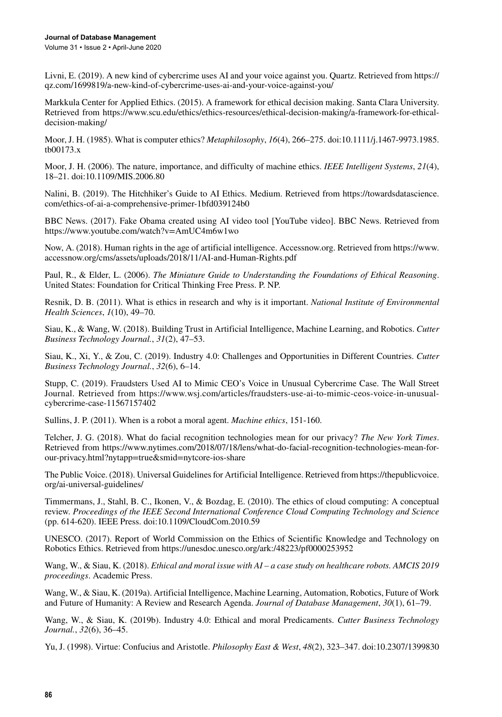Livni, E. (2019). A new kind of cybercrime uses AI and your voice against you. Quartz. Retrieved from [https://](https://qz.com/1699819/a-new-kind-of-cybercrime-uses-ai-and-your-voice-against-you/) [qz.com/1699819/a-new-kind-of-cybercrime-uses-ai-and-your-voice-against-you/](https://qz.com/1699819/a-new-kind-of-cybercrime-uses-ai-and-your-voice-against-you/)

Markkula Center for Applied Ethics. (2015). A framework for ethical decision making. Santa Clara University. Retrieved from [https://www.scu.edu/ethics/ethics-resources/ethical-decision-making/a-framework-for-ethical](https://www.scu.edu/ethics/ethics-resources/ethical-decision-making/a-framework-for-ethical-decision-making/)[decision-making/](https://www.scu.edu/ethics/ethics-resources/ethical-decision-making/a-framework-for-ethical-decision-making/)

Moor, J. H. (1985). What is computer ethics? *Metaphilosophy*, *16*(4), 266–275. doi:[10.1111/j.1467-9973.1985.](http://dx.doi.org/10.1111/j.1467-9973.1985.tb00173.x) [tb00173.x](http://dx.doi.org/10.1111/j.1467-9973.1985.tb00173.x)

Moor, J. H. (2006). The nature, importance, and difficulty of machine ethics. *IEEE Intelligent Systems*, *21*(4), 18–21. doi:[10.1109/MIS.2006.80](http://dx.doi.org/10.1109/MIS.2006.80)

Nalini, B. (2019). The Hitchhiker's Guide to AI Ethics. Medium. Retrieved from [https://towardsdatascience.](https://towardsdatascience.com/ethics-of-ai-a-comprehensive-primer-1bfd039124b0) [com/ethics-of-ai-a-comprehensive-primer-1bfd039124b0](https://towardsdatascience.com/ethics-of-ai-a-comprehensive-primer-1bfd039124b0)

BBC News. (2017). Fake Obama created using AI video tool [YouTube video]. BBC News. Retrieved from <https://www.youtube.com/watch?v=AmUC4m6w1wo>

Now, A. (2018). Human rights in the age of artificial intelligence. Accessnow.org. Retrieved from [https://www.](https://www.accessnow.org/cms/assets/uploads/2018/11/AI-and-Human-Rights.pdf) [accessnow.org/cms/assets/uploads/2018/11/AI-and-Human-Rights.pdf](https://www.accessnow.org/cms/assets/uploads/2018/11/AI-and-Human-Rights.pdf)

Paul, R., & Elder, L. (2006). *The Miniature Guide to Understanding the Foundations of Ethical Reasoning*. United States: Foundation for Critical Thinking Free Press. P. NP.

Resnik, D. B. (2011). What is ethics in research and why is it important. *National Institute of Environmental Health Sciences*, *1*(10), 49–70.

Siau, K., & Wang, W. (2018). Building Trust in Artificial Intelligence, Machine Learning, and Robotics. *Cutter Business Technology Journal.*, *31*(2), 47–53.

Siau, K., Xi, Y., & Zou, C. (2019). Industry 4.0: Challenges and Opportunities in Different Countries. *Cutter Business Technology Journal.*, *32*(6), 6–14.

Stupp, C. (2019). Fraudsters Used AI to Mimic CEO's Voice in Unusual Cybercrime Case. The Wall Street Journal. Retrieved from [https://www.wsj.com/articles/fraudsters-use-ai-to-mimic-ceos-voice-in-unusual](https://www.wsj.com/articles/fraudsters-use-ai-to-mimic-ceos-voice-in-unusual-cybercrime-case-11567157402)[cybercrime-case-11567157402](https://www.wsj.com/articles/fraudsters-use-ai-to-mimic-ceos-voice-in-unusual-cybercrime-case-11567157402)

Sullins, J. P. (2011). When is a robot a moral agent. *Machine ethics*, 151-160.

Telcher, J. G. (2018). What do facial recognition technologies mean for our privacy? *The New York Times*. Retrieved from [https://www.nytimes.com/2018/07/18/lens/what-do-facial-recognition-technologies-mean-for](https://www.nytimes.com/2018/07/18/lens/what-do-facial-recognition-technologies-mean-for-our-privacy.html?nytapp=true&smid=nytcore-ios-share)[our-privacy.html?nytapp=true&smid=nytcore-ios-share](https://www.nytimes.com/2018/07/18/lens/what-do-facial-recognition-technologies-mean-for-our-privacy.html?nytapp=true&smid=nytcore-ios-share)

The Public Voice. (2018). Universal Guidelines for Artificial Intelligence. Retrieved from [https://thepublicvoice.](https://thepublicvoice.org/ai-universal-guidelines/) [org/ai-universal-guidelines/](https://thepublicvoice.org/ai-universal-guidelines/)

Timmermans, J., Stahl, B. C., Ikonen, V., & Bozdag, E. (2010). The ethics of cloud computing: A conceptual review. *Proceedings of the IEEE Second International Conference Cloud Computing Technology and Science* (pp. 614-620). IEEE Press. doi[:10.1109/CloudCom.2010.59](http://dx.doi.org/10.1109/CloudCom.2010.59)

UNESCO. (2017). Report of World Commission on the Ethics of Scientific Knowledge and Technology on Robotics Ethics. Retrieved from <https://unesdoc.unesco.org/ark:/48223/pf0000253952>

Wang, W., & Siau, K. (2018). *Ethical and moral issue with AI – a case study on healthcare robots. AMCIS 2019 proceedings*. Academic Press.

Wang, W., & Siau, K. (2019a). Artificial Intelligence, Machine Learning, Automation, Robotics, Future of Work and Future of Humanity: A Review and Research Agenda. *Journal of Database Management*, *30*(1), 61–79.

Wang, W., & Siau, K. (2019b). Industry 4.0: Ethical and moral Predicaments. *Cutter Business Technology Journal.*, *32*(6), 36–45.

Yu, J. (1998). Virtue: Confucius and Aristotle. *Philosophy East & West*, *48*(2), 323–347. doi:[10.2307/1399830](http://dx.doi.org/10.2307/1399830)